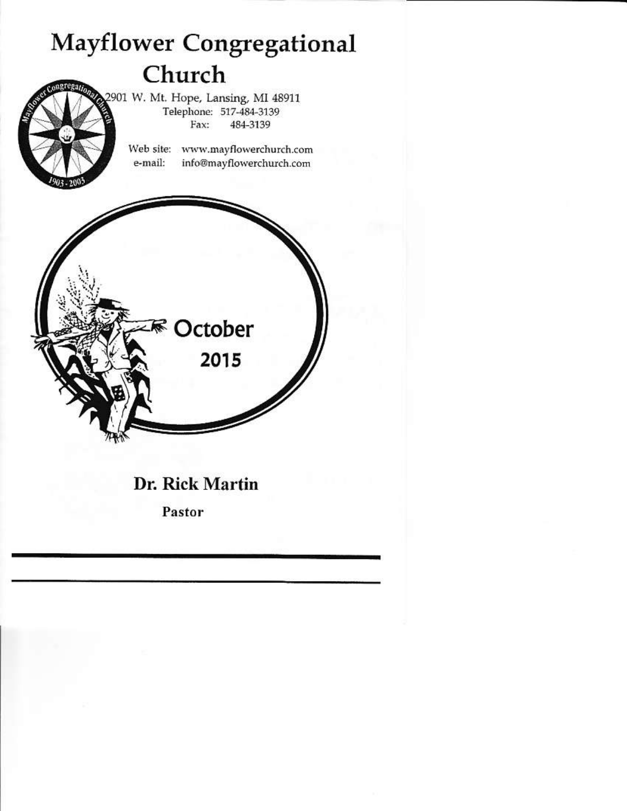

# Dr. Rick Martin

**ER** October

2015

Pastor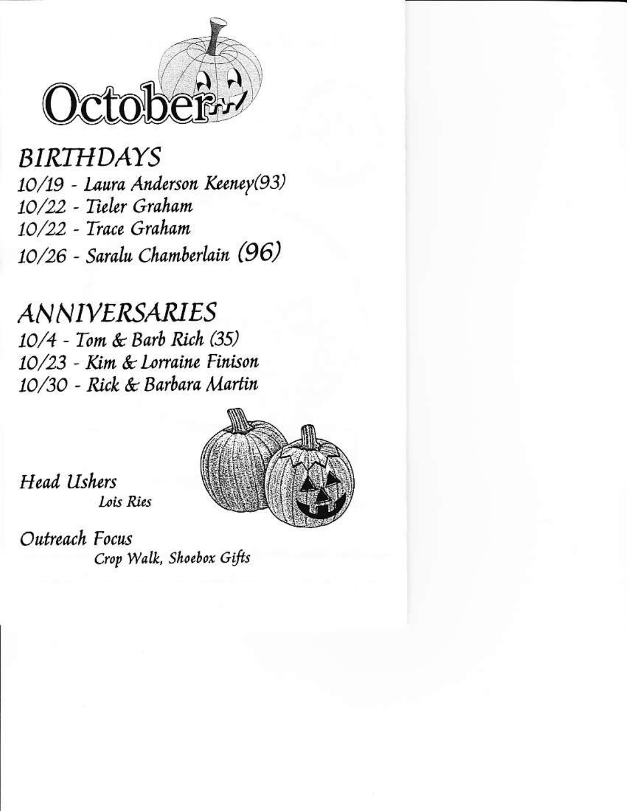

# **BIRTHDAYS** 10/19 - Laura Anderson Keeney(93) 10/22 - Tieler Graham 10/22 - Trace Graham 10/26 - Saralu Chamberlain (96)

# *ANNIVERSARIES* 10/4 - Tom & Barb Rich (35) 10/23 - Kim & Lorraine Finison 10/30 - Rick & Barbara Martin



Head Ushers Lois Ries

Outreach Focus Crop Walk, Shoebox Gifts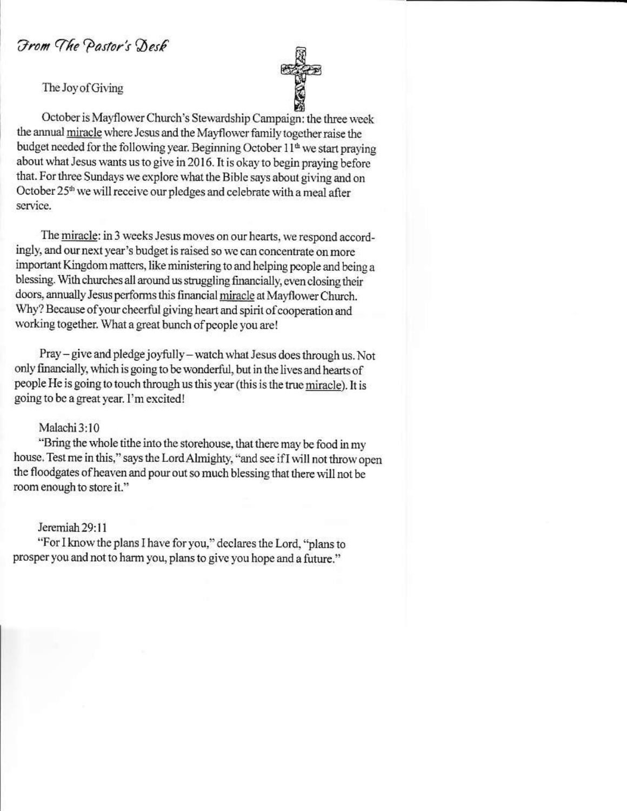From The Pastor's Desk

The Joy of Giving



October is Mayflower Church's Stewardship Campaign: the three week the annual miracle where Jesus and the Mayflower family together raise the budget needed for the following year. Beginning October 11<sup>th</sup> we start praying about what Jesus wants us to give in 2016. It is okay to begin praying before that. For three Sundays we explore what the Bible says about giving and on October 25<sup>th</sup> we will receive our pledges and celebrate with a meal after service.

The miracle: in 3 weeks Jesus moves on our hearts, we respond accordingly, and our next year's budget is raised so we can concentrate on more important Kingdom matters, like ministering to and helping people and being a blessing. With churches all around us struggling financially, even closing their doors, annually Jesus performs this financial miracle at Mayflower Church. Why? Because of your cheerful giving heart and spirit of cooperation and working together. What a great bunch of people you are!

Pray – give and pledge joyfully – watch what Jesus does through us. Not only financially, which is going to be wonderful, but in the lives and hearts of people He is going to touch through us this year (this is the true miracle). It is going to be a great year. I'm excited!

#### Malachi 3:10

"Bring the whole tithe into the storehouse, that there may be food in my house. Test me in this," says the Lord Almighty, "and see if I will not throw open the floodgates of heaven and pour out so much blessing that there will not be room enough to store it."

#### Jeremiah 29:11

"For I know the plans I have for you," declares the Lord, "plans to prosper you and not to harm you, plans to give you hope and a future."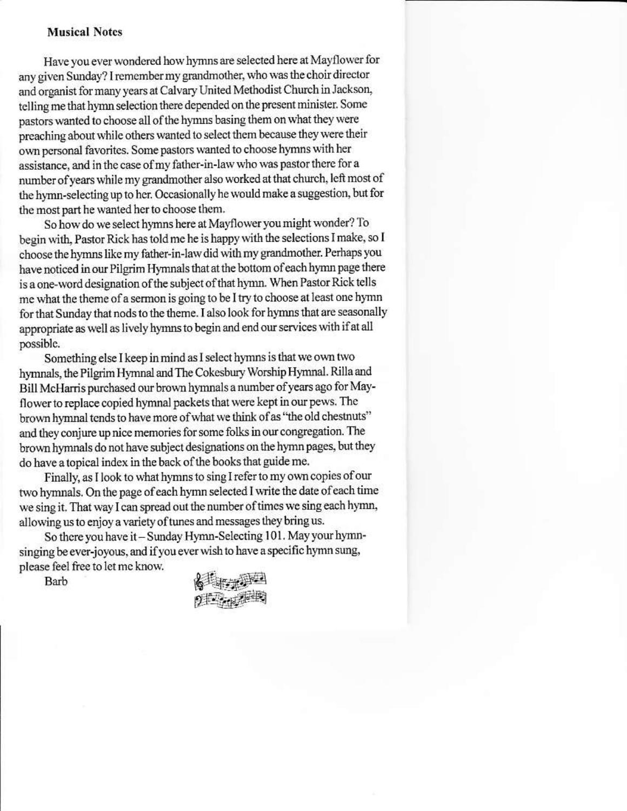### **Musical Notes**

Have you ever wondered how hymns are selected here at Mayflower for any given Sunday? I remember my grandmother, who was the choir director and organist for many years at Calvary United Methodist Church in Jackson, telling me that hymn selection there depended on the present minister. Some pastors wanted to choose all of the hymns basing them on what they were preaching about while others wanted to select them because they were their own personal favorites. Some pastors wanted to choose hymns with her assistance, and in the case of my father-in-law who was pastor there for a number of years while my grandmother also worked at that church, left most of the hymn-selecting up to her. Occasionally he would make a suggestion, but for the most part he wanted her to choose them.

So how do we select hymns here at Mayflower you might wonder? To begin with, Pastor Rick has told me he is happy with the selections I make, so I choose the hymns like my father-in-law did with my grandmother. Perhaps you have noticed in our Pilgrim Hymnals that at the bottom of each hymn page there is a one-word designation of the subject of that hymn. When Pastor Rick tells me what the theme of a sermon is going to be I try to choose at least one hymn for that Sunday that nods to the theme. I also look for hymns that are seasonally appropriate as well as lively hymns to begin and end our services with if at all possible.

Something else I keep in mind as I select hymns is that we own two hymnals, the Pilgrim Hymnal and The Cokesbury Worship Hymnal. Rilla and Bill McHarris purchased our brown hymnals a number of years ago for Mayflower to replace copied hymnal packets that were kept in our pews. The brown hymnal tends to have more of what we think of as "the old chestnuts" and they conjure up nice memories for some folks in our congregation. The brown hymnals do not have subject designations on the hymn pages, but they do have a topical index in the back of the books that guide me.

Finally, as I look to what hymns to sing I refer to my own copies of our two hymnals. On the page of each hymn selected I write the date of each time we sing it. That way I can spread out the number of times we sing each hymn, allowing us to enjoy a variety of tunes and messages they bring us.

So there you have it - Sunday Hymn-Selecting 101. May your hymnsinging be ever-joyous, and if you ever wish to have a specific hymn sung, please feel free to let me know.

Barb

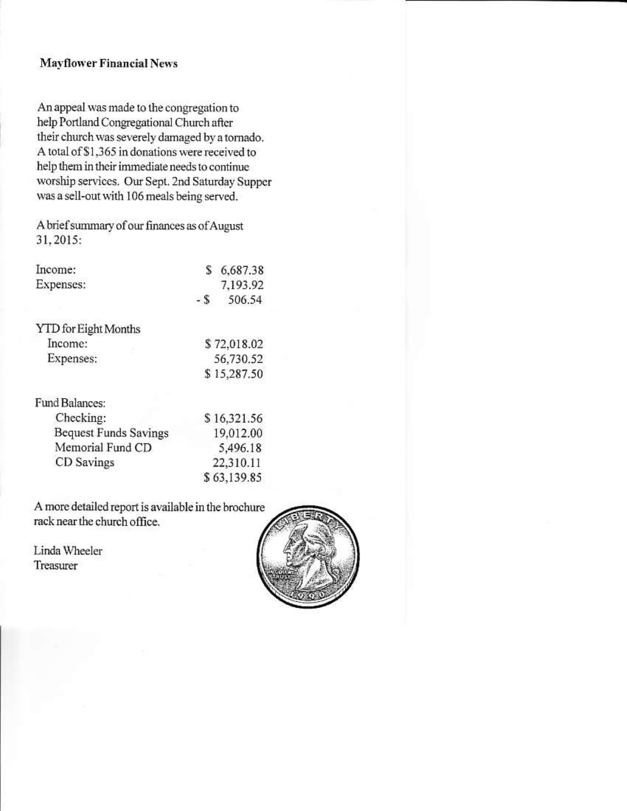# **Mayflower Financial News**

An appeal was made to the congregation to help Portland Congregational Church after their church was severely damaged by a tornado. A total of \$1,365 in donations were received to help them in their immediate needs to continue worship services. Our Sept. 2nd Saturday Supper was a sell-out with 106 meals being served.

A brief summary of our finances as of August 31, 2015:

| Income:                      | S           | 6,687.38    |
|------------------------------|-------------|-------------|
| Expenses:                    |             | 7,193.92    |
|                              | - S         | 506.54      |
| <b>YTD</b> for Eight Months  |             |             |
| Income:                      | \$72,018.02 |             |
| Expenses:                    |             | 56,730.52   |
|                              | \$15,287.50 |             |
| Fund Balances:               |             |             |
| Checking:                    |             | \$16,321.56 |
| <b>Bequest Funds Savings</b> |             | 19,012.00   |
| Memorial Fund CD             |             | 5,496.18    |
| CD Savings                   |             | 22,310.11   |
|                              |             | \$63,139.85 |

A more detailed report is available in the brochure rack near the church office.

Linda Wheeler Treasurer

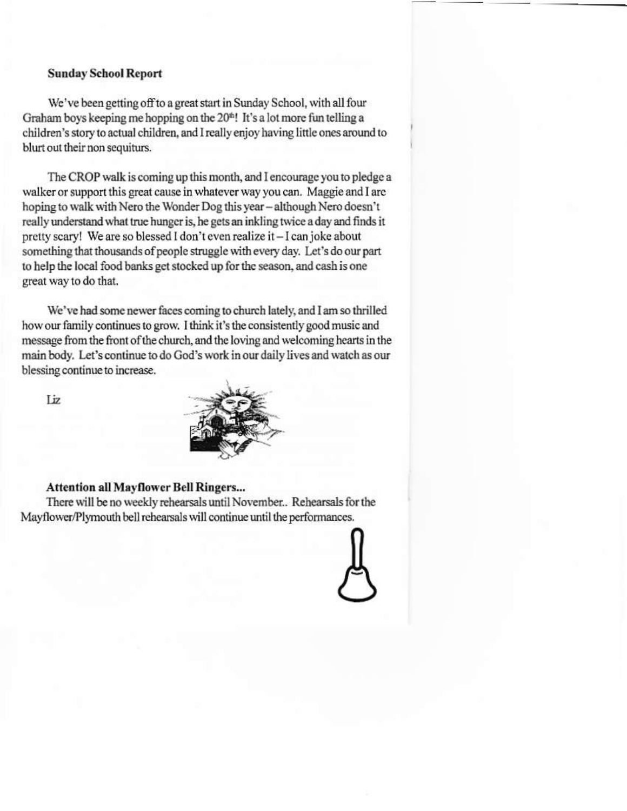# **Sunday School Report**

We've been getting off to a great start in Sunday School, with all four Graham boys keeping me hopping on the 20<sup>th</sup>! It's a lot more fun telling a children's story to actual children, and I really enjoy having little ones around to blurt out their non sequiturs.

The CROP walk is coming up this month, and I encourage you to pledge a walker or support this great cause in whatever way you can. Maggie and I are hoping to walk with Nero the Wonder Dog this year - although Nero doesn't really understand what true hunger is, he gets an inkling twice a day and finds it pretty scary! We are so blessed I don't even realize it - I can joke about something that thousands of people struggle with every day. Let's do our part to help the local food banks get stocked up for the season, and cash is one great way to do that.

We've had some newer faces coming to church lately, and I am so thrilled how our family continues to grow. I think it's the consistently good music and message from the front of the church, and the loving and welcoming hearts in the main body. Let's continue to do God's work in our daily lives and watch as our blessing continue to increase.

Liz



#### **Attention all Mayflower Bell Ringers...**

There will be no weekly rehearsals until November.. Rehearsals for the Mayflower/Plymouth bell rehearsals will continue until the performances.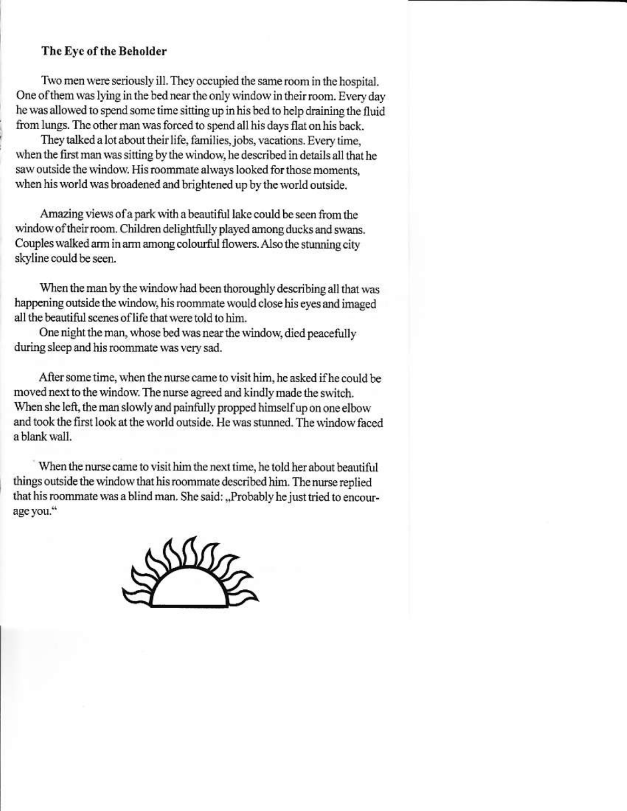# The Eye of the Beholder

Two men were seriously ill. They occupied the same room in the hospital. One of them was lying in the bed near the only window in their room. Every day he was allowed to spend some time sitting up in his bed to help draining the fluid from lungs. The other man was forced to spend all his days flat on his back.

They talked a lot about their life, families, jobs, vacations. Every time, when the first man was sitting by the window, he described in details all that he saw outside the window. His roommate always looked for those moments, when his world was broadened and brightened up by the world outside.

Amazing views of a park with a beautiful lake could be seen from the window of their room. Children delightfully played among ducks and swans. Couples walked arm in arm among colourful flowers. Also the stunning city skyline could be seen.

When the man by the window had been thoroughly describing all that was happening outside the window, his roommate would close his eyes and imaged all the beautiful scenes of life that were told to him.

One night the man, whose bed was near the window, died peacefully during sleep and his roommate was very sad.

After some time, when the nurse came to visit him, he asked if he could be moved next to the window. The nurse agreed and kindly made the switch. When she left, the man slowly and painfully propped himself up on one elbow and took the first look at the world outside. He was stunned. The window faced a blank wall.

When the nurse came to visit him the next time, he told her about beautiful things outside the window that his roommate described him. The nurse replied that his roommate was a blind man. She said: ..Probably he just tried to encourage you."

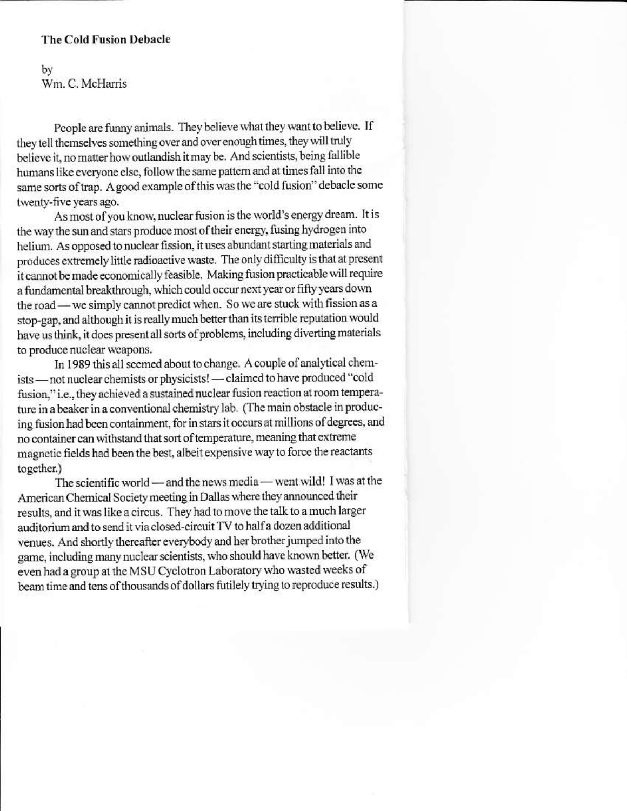#### **The Cold Fusion Debacle**

bý Wm. C. McHarris

People are funny animals. They believe what they want to believe. If they tell themselves something over and over enough times, they will truly believe it, no matter how outlandish it may be. And scientists, being fallible humans like everyone else, follow the same pattern and at times fall into the same sorts of trap. A good example of this was the "cold fusion" debacle some twenty-five years ago.

As most of you know, nuclear fusion is the world's energy dream. It is the way the sun and stars produce most of their energy, fusing hydrogen into helium. As opposed to nuclear fission, it uses abundant starting materials and produces extremely little radioactive waste. The only difficulty is that at present it cannot be made economically feasible. Making fusion practicable will require a fundamental breakthrough, which could occur next year or fifty years down the road — we simply cannot predict when. So we are stuck with fission as a stop-gap, and although it is really much better than its terrible reputation would have us think, it does present all sorts of problems, including diverting materials to produce nuclear weapons.

In 1989 this all seemed about to change. A couple of analytical chemists - not nuclear chemists or physicists! - claimed to have produced "cold fusion," i.e., they achieved a sustained nuclear fusion reaction at room temperature in a beaker in a conventional chemistry lab. (The main obstacle in producing fusion had been containment, for in stars it occurs at millions of degrees, and no container can withstand that sort of temperature, meaning that extreme magnetic fields had been the best, albeit expensive way to force the reactants together.)

The scientific world — and the news media — went wild! I was at the American Chemical Society meeting in Dallas where they announced their results, and it was like a circus. They had to move the talk to a much larger auditorium and to send it via closed-circuit TV to half a dozen additional venues. And shortly thereafter everybody and her brother jumped into the game, including many nuclear scientists, who should have known better. (We even had a group at the MSU Cyclotron Laboratory who wasted weeks of beam time and tens of thousands of dollars futilely trying to reproduce results.)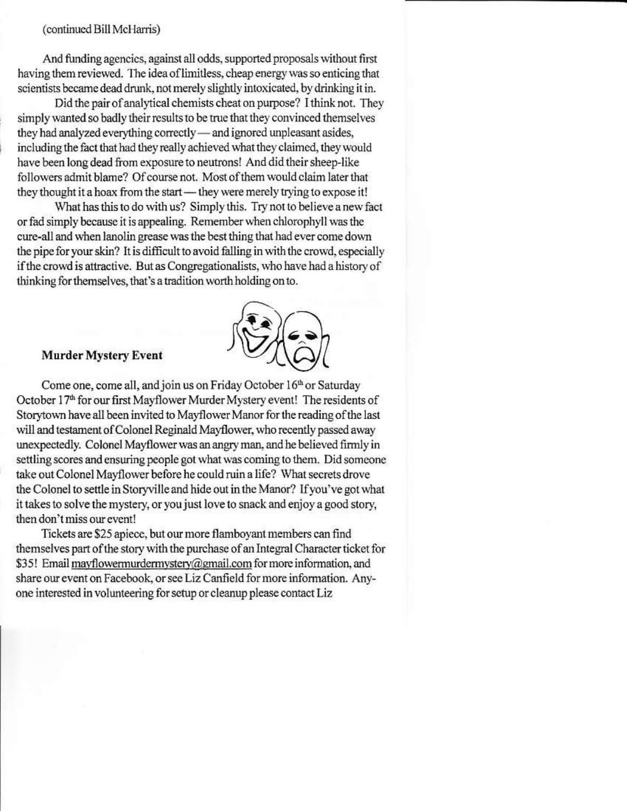#### (continued Bill McHarris)

And funding agencies, against all odds, supported proposals without first having them reviewed. The idea of limitless, cheap energy was so enticing that scientists became dead drunk, not merely slightly intoxicated, by drinking it in.

Did the pair of analytical chemists cheat on purpose? I think not. They simply wanted so badly their results to be true that they convinced themselves they had analyzed everything correctly - and ignored unpleasant asides, including the fact that had they really achieved what they claimed, they would have been long dead from exposure to neutrons! And did their sheep-like followers admit blame? Of course not. Most of them would claim later that they thought it a hoax from the start - they were merely trying to expose it!

What has this to do with us? Simply this. Try not to believe a new fact or fad simply because it is appealing. Remember when chlorophyll was the cure-all and when lanolin grease was the best thing that had ever come down the pipe for your skin? It is difficult to avoid falling in with the crowd, especially if the crowd is attractive. But as Congregationalists, who have had a history of thinking for themselves, that's a tradition worth holding on to.



#### **Murder Mystery Event**

Come one, come all, and join us on Friday October 16th or Saturday October 17<sup>th</sup> for our first Mayflower Murder Mystery event! The residents of Storytown have all been invited to Mayflower Manor for the reading of the last will and testament of Colonel Reginald Mayflower, who recently passed away unexpectedly. Colonel Mayflower was an angry man, and he believed firmly in settling scores and ensuring people got what was coming to them. Did someone take out Colonel Mayflower before he could ruin a life? What secrets drove the Colonel to settle in Storyville and hide out in the Manor? If you've got what it takes to solve the mystery, or you just love to snack and enjoy a good story, then don't miss our event!

Tickets are \$25 apiece, but our more flamboyant members can find themselves part of the story with the purchase of an Integral Character ticket for \$35! Email mayflowermurdermystery@gmail.com for more information, and share our event on Facebook, or see Liz Canfield for more information. Anyone interested in volunteering for setup or cleanup please contact Liz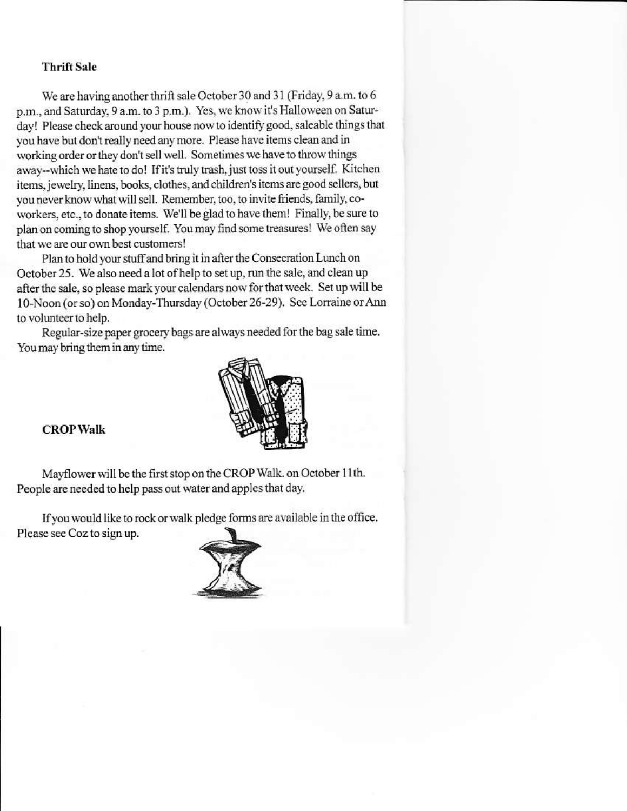## **Thrift Sale**

We are having another thrift sale October 30 and 31 (Friday, 9 a.m. to 6 p.m., and Saturday, 9 a.m. to 3 p.m.). Yes, we know it's Halloween on Saturday! Please check around your house now to identify good, saleable things that you have but don't really need any more. Please have items clean and in working order or they don't sell well. Sometimes we have to throw things away--which we hate to do! If it's truly trash, just toss it out yourself. Kitchen items, jewelry, linens, books, clothes, and children's items are good sellers, but you never know what will sell. Remember, too, to invite friends, family, coworkers, etc., to donate items. We'll be glad to have them! Finally, be sure to plan on coming to shop yourself. You may find some treasures! We often say that we are our own best customers!

Plan to hold your stuff and bring it in after the Consecration Lunch on October 25. We also need a lot of help to set up, run the sale, and clean up after the sale, so please mark your calendars now for that week. Set up will be 10-Noon (or so) on Monday-Thursday (October 26-29). See Lorraine or Ann to volunteer to help.

Regular-size paper grocery bags are always needed for the bag sale time. You may bring them in any time.



**CROP Walk** 

Mayflower will be the first stop on the CROP Walk. on October 11th. People are needed to help pass out water and apples that day.

If you would like to rock or walk pledge forms are available in the office. Please see Coz to sign up.